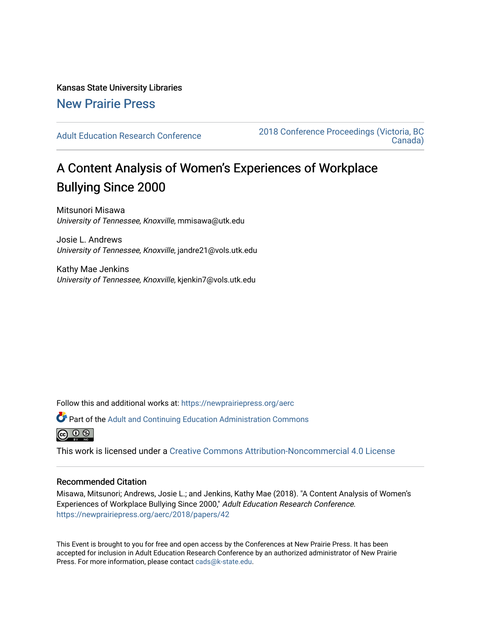Kansas State University Libraries [New Prairie Press](https://newprairiepress.org/) 

[Adult Education Research Conference](https://newprairiepress.org/aerc) [2018 Conference Proceedings \(Victoria, BC](https://newprairiepress.org/aerc/2018)  [Canada\)](https://newprairiepress.org/aerc/2018) 

# A Content Analysis of Women's Experiences of Workplace Bullying Since 2000

Mitsunori Misawa University of Tennessee, Knoxville, mmisawa@utk.edu

Josie L. Andrews University of Tennessee, Knoxville, jandre21@vols.utk.edu

Kathy Mae Jenkins University of Tennessee, Knoxville, kjenkin7@vols.utk.edu

Follow this and additional works at: [https://newprairiepress.org/aerc](https://newprairiepress.org/aerc?utm_source=newprairiepress.org%2Faerc%2F2018%2Fpapers%2F42&utm_medium=PDF&utm_campaign=PDFCoverPages)

Part of the [Adult and Continuing Education Administration Commons](http://network.bepress.com/hgg/discipline/789?utm_source=newprairiepress.org%2Faerc%2F2018%2Fpapers%2F42&utm_medium=PDF&utm_campaign=PDFCoverPages)

ெ 0 ®

This work is licensed under a [Creative Commons Attribution-Noncommercial 4.0 License](https://creativecommons.org/licenses/by-nc/4.0/)

### Recommended Citation

Misawa, Mitsunori; Andrews, Josie L.; and Jenkins, Kathy Mae (2018). "A Content Analysis of Women's Experiences of Workplace Bullying Since 2000," Adult Education Research Conference. <https://newprairiepress.org/aerc/2018/papers/42>

This Event is brought to you for free and open access by the Conferences at New Prairie Press. It has been accepted for inclusion in Adult Education Research Conference by an authorized administrator of New Prairie Press. For more information, please contact [cads@k-state.edu.](mailto:cads@k-state.edu)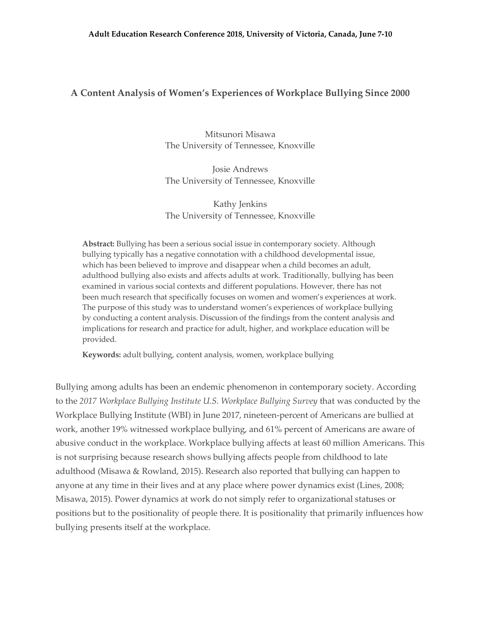## **A Content Analysis of Women's Experiences of Workplace Bullying Since 2000**

Mitsunori Misawa The University of Tennessee, Knoxville

Josie Andrews The University of Tennessee, Knoxville

Kathy Jenkins The University of Tennessee, Knoxville

**Abstract:** Bullying has been a serious social issue in contemporary society. Although bullying typically has a negative connotation with a childhood developmental issue, which has been believed to improve and disappear when a child becomes an adult, adulthood bullying also exists and affects adults at work. Traditionally, bullying has been examined in various social contexts and different populations. However, there has not been much research that specifically focuses on women and women's experiences at work. The purpose of this study was to understand women's experiences of workplace bullying by conducting a content analysis. Discussion of the findings from the content analysis and implications for research and practice for adult, higher, and workplace education will be provided.

**Keywords:** adult bullying, content analysis, women, workplace bullying

Bullying among adults has been an endemic phenomenon in contemporary society. According to the *2017 Workplace Bullying Institute U.S. Workplace Bullying Survey* that was conducted by the Workplace Bullying Institute (WBI) in June 2017, nineteen-percent of Americans are bullied at work, another 19% witnessed workplace bullying, and 61% percent of Americans are aware of abusive conduct in the workplace. Workplace bullying affects at least 60 million Americans. This is not surprising because research shows bullying affects people from childhood to late adulthood (Misawa & Rowland, 2015). Research also reported that bullying can happen to anyone at any time in their lives and at any place where power dynamics exist (Lines, 2008; Misawa, 2015). Power dynamics at work do not simply refer to organizational statuses or positions but to the positionality of people there. It is positionality that primarily influences how bullying presents itself at the workplace.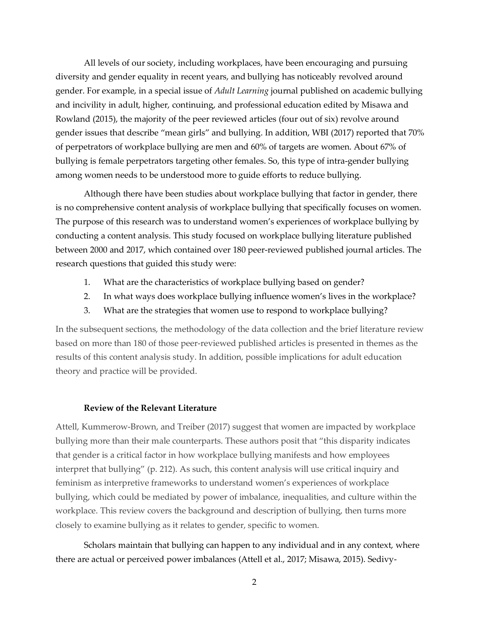All levels of our society, including workplaces, have been encouraging and pursuing diversity and gender equality in recent years, and bullying has noticeably revolved around gender. For example, in a special issue of *Adult Learning* journal published on academic bullying and incivility in adult, higher, continuing, and professional education edited by Misawa and Rowland (2015), the majority of the peer reviewed articles (four out of six) revolve around gender issues that describe "mean girls" and bullying. In addition, WBI (2017) reported that 70% of perpetrators of workplace bullying are men and 60% of targets are women. About 67% of bullying is female perpetrators targeting other females. So, this type of intra-gender bullying among women needs to be understood more to guide efforts to reduce bullying.

Although there have been studies about workplace bullying that factor in gender, there is no comprehensive content analysis of workplace bullying that specifically focuses on women. The purpose of this research was to understand women's experiences of workplace bullying by conducting a content analysis. This study focused on workplace bullying literature published between 2000 and 2017, which contained over 180 peer-reviewed published journal articles. The research questions that guided this study were:

- 1. What are the characteristics of workplace bullying based on gender?
- 2. In what ways does workplace bullying influence women's lives in the workplace?
- 3. What are the strategies that women use to respond to workplace bullying?

In the subsequent sections, the methodology of the data collection and the brief literature review based on more than 180 of those peer-reviewed published articles is presented in themes as the results of this content analysis study. In addition, possible implications for adult education theory and practice will be provided.

#### **Review of the Relevant Literature**

Attell, Kummerow-Brown, and Treiber (2017) suggest that women are impacted by workplace bullying more than their male counterparts. These authors posit that "this disparity indicates that gender is a critical factor in how workplace bullying manifests and how employees interpret that bullying" (p. 212). As such, this content analysis will use critical inquiry and feminism as interpretive frameworks to understand women's experiences of workplace bullying, which could be mediated by power of imbalance, inequalities, and culture within the workplace. This review covers the background and description of bullying, then turns more closely to examine bullying as it relates to gender, specific to women.

Scholars maintain that bullying can happen to any individual and in any context, where there are actual or perceived power imbalances (Attell et al., 2017; Misawa, 2015). Sedivy-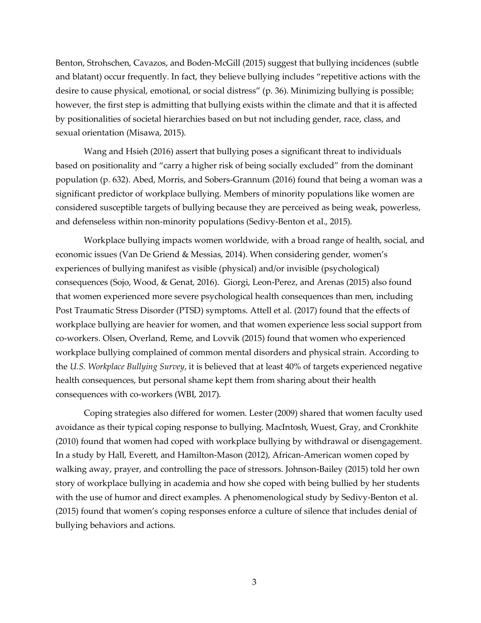Benton, Strohschen, Cavazos, and Boden-McGill (2015) suggest that bullying incidences (subtle and blatant) occur frequently. In fact, they believe bullying includes "repetitive actions with the desire to cause physical, emotional, or social distress" (p. 36). Minimizing bullying is possible; however, the first step is admitting that bullying exists within the climate and that it is affected by positionalities of societal hierarchies based on but not including gender, race, class, and sexual orientation (Misawa, 2015).

Wang and Hsieh (2016) assert that bullying poses a significant threat to individuals based on positionality and "carry a higher risk of being socially excluded" from the dominant population (p. 632). Abed, Morris, and Sobers-Grannum (2016) found that being a woman was a significant predictor of workplace bullying. Members of minority populations like women are considered susceptible targets of bullying because they are perceived as being weak, powerless, and defenseless within non-minority populations (Sedivy-Benton et al., 2015).

Workplace bullying impacts women worldwide, with a broad range of health, social, and economic issues (Van De Griend & Messias, 2014). When considering gender, women's experiences of bullying manifest as visible (physical) and/or invisible (psychological) consequences (Sojo, Wood, & Genat, 2016). Giorgi, Leon-Perez, and Arenas (2015) also found that women experienced more severe psychological health consequences than men, including Post Traumatic Stress Disorder (PTSD) symptoms. Attell et al. (2017) found that the effects of workplace bullying are heavier for women, and that women experience less social support from co-workers. Olsen, Overland, Reme, and Lovvik (2015) found that women who experienced workplace bullying complained of common mental disorders and physical strain. According to the *U.S. Workplace Bullying Survey*, it is believed that at least 40% of targets experienced negative health consequences, but personal shame kept them from sharing about their health consequences with co-workers (WBI, 2017).

Coping strategies also differed for women. Lester (2009) shared that women faculty used avoidance as their typical coping response to bullying. MacIntosh, Wuest, Gray, and Cronkhite (2010) found that women had coped with workplace bullying by withdrawal or disengagement. In a study by Hall, Everett, and Hamilton-Mason (2012), African-American women coped by walking away, prayer, and controlling the pace of stressors. Johnson-Bailey (2015) told her own story of workplace bullying in academia and how she coped with being bullied by her students with the use of humor and direct examples. A phenomenological study by Sedivy-Benton et al. (2015) found that women's coping responses enforce a culture of silence that includes denial of bullying behaviors and actions.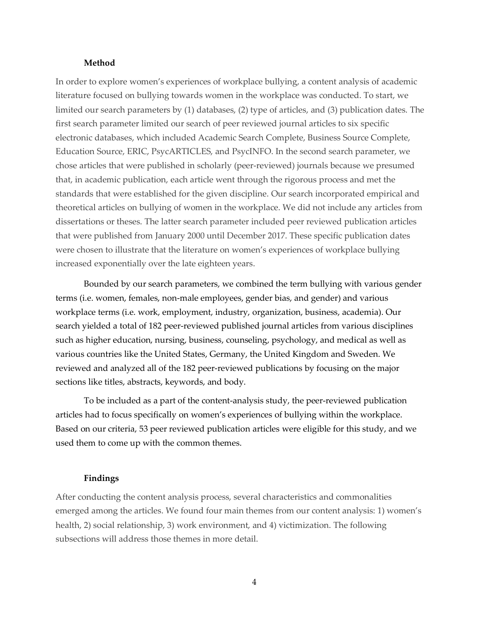#### **Method**

In order to explore women's experiences of workplace bullying, a content analysis of academic literature focused on bullying towards women in the workplace was conducted. To start, we limited our search parameters by (1) databases, (2) type of articles, and (3) publication dates. The first search parameter limited our search of peer reviewed journal articles to six specific electronic databases, which included Academic Search Complete, Business Source Complete, Education Source, ERIC, PsycARTICLES, and PsycINFO. In the second search parameter, we chose articles that were published in scholarly (peer-reviewed) journals because we presumed that, in academic publication, each article went through the rigorous process and met the standards that were established for the given discipline. Our search incorporated empirical and theoretical articles on bullying of women in the workplace. We did not include any articles from dissertations or theses. The latter search parameter included peer reviewed publication articles that were published from January 2000 until December 2017. These specific publication dates were chosen to illustrate that the literature on women's experiences of workplace bullying increased exponentially over the late eighteen years.

Bounded by our search parameters, we combined the term bullying with various gender terms (i.e. women, females, non-male employees, gender bias, and gender) and various workplace terms (i.e. work, employment, industry, organization, business, academia). Our search yielded a total of 182 peer-reviewed published journal articles from various disciplines such as higher education, nursing, business, counseling, psychology, and medical as well as various countries like the United States, Germany, the United Kingdom and Sweden. We reviewed and analyzed all of the 182 peer-reviewed publications by focusing on the major sections like titles, abstracts, keywords, and body.

To be included as a part of the content-analysis study, the peer-reviewed publication articles had to focus specifically on women's experiences of bullying within the workplace. Based on our criteria, 53 peer reviewed publication articles were eligible for this study, and we used them to come up with the common themes.

#### **Findings**

After conducting the content analysis process, several characteristics and commonalities emerged among the articles. We found four main themes from our content analysis: 1) women's health, 2) social relationship, 3) work environment, and 4) victimization. The following subsections will address those themes in more detail.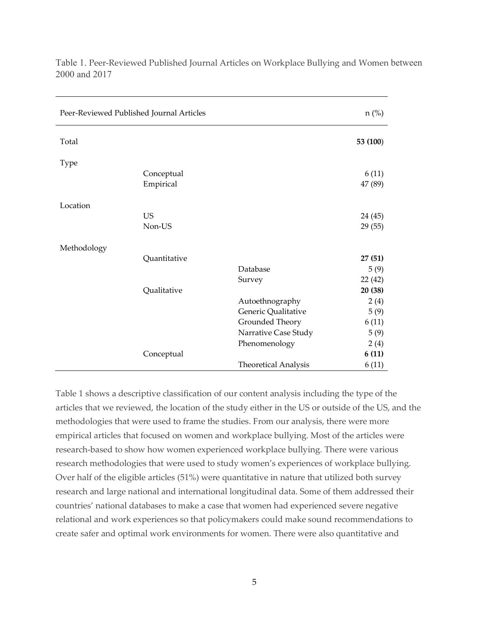| Peer-Reviewed Published Journal Articles |                         |                             | $n$ (%)          |
|------------------------------------------|-------------------------|-----------------------------|------------------|
| Total                                    |                         |                             | 53 (100)         |
| Type                                     |                         |                             |                  |
|                                          | Conceptual<br>Empirical |                             | 6(11)<br>47 (89) |
| Location                                 |                         |                             |                  |
|                                          | <b>US</b>               |                             | 24 (45)          |
|                                          | Non-US                  |                             | 29(55)           |
| Methodology                              |                         |                             |                  |
|                                          | Quantitative            |                             | 27(51)           |
|                                          |                         | Database                    | 5(9)             |
|                                          |                         | Survey                      | 22 (42)          |
|                                          | Qualitative             |                             | 20 (38)          |
|                                          |                         | Autoethnography             | 2(4)             |
|                                          |                         | Generic Qualitative         | 5(9)             |
|                                          |                         | Grounded Theory             | 6(11)            |
|                                          |                         | Narrative Case Study        | 5(9)             |
|                                          |                         | Phenomenology               | 2(4)             |
|                                          | Conceptual              |                             | 6(11)            |
|                                          |                         | <b>Theoretical Analysis</b> | 6(11)            |

Table 1. Peer-Reviewed Published Journal Articles on Workplace Bullying and Women between 2000 and 2017

Table 1 shows a descriptive classification of our content analysis including the type of the articles that we reviewed, the location of the study either in the US or outside of the US, and the methodologies that were used to frame the studies. From our analysis, there were more empirical articles that focused on women and workplace bullying. Most of the articles were research-based to show how women experienced workplace bullying. There were various research methodologies that were used to study women's experiences of workplace bullying. Over half of the eligible articles (51%) were quantitative in nature that utilized both survey research and large national and international longitudinal data. Some of them addressed their countries' national databases to make a case that women had experienced severe negative relational and work experiences so that policymakers could make sound recommendations to create safer and optimal work environments for women. There were also quantitative and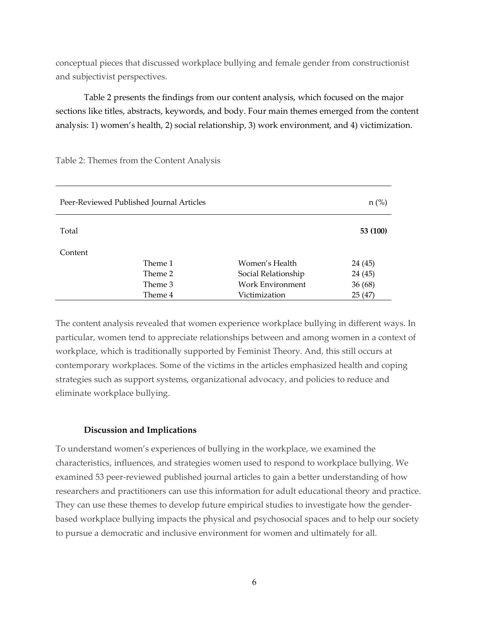conceptual pieces that discussed workplace bullying and female gender from constructionist and subjectivist perspectives.

Table 2 presents the findings from our content analysis, which focused on the major sections like titles, abstracts, keywords, and body. Four main themes emerged from the content analysis: 1) women's health, 2) social relationship, 3) work environment, and 4) victimization.

| Peer-Reviewed Published Journal Articles |                                                                  |  |  |
|------------------------------------------|------------------------------------------------------------------|--|--|
|                                          | 53 (100)                                                         |  |  |
|                                          |                                                                  |  |  |
|                                          | 24 (45)                                                          |  |  |
| Theme 2                                  | 24 (45)                                                          |  |  |
| Theme 3                                  | 36 (68)                                                          |  |  |
| Theme 4<br>Victimization                 | 25 (47)                                                          |  |  |
|                                          | Women's Health<br>Social Relationship<br><b>Work Environment</b> |  |  |

Table 2: Themes from the Content Analysis

The content analysis revealed that women experience workplace bullying in different ways. In particular, women tend to appreciate relationships between and among women in a context of workplace, which is traditionally supported by Feminist Theory. And, this still occurs at contemporary workplaces. Some of the victims in the articles emphasized health and coping strategies such as support systems, organizational advocacy, and policies to reduce and eliminate workplace bullying.

#### **Discussion and Implications**

To understand women's experiences of bullying in the workplace, we examined the characteristics, influences, and strategies women used to respond to workplace bullying. We examined 53 peer-reviewed published journal articles to gain a better understanding of how researchers and practitioners can use this information for adult educational theory and practice. They can use these themes to develop future empirical studies to investigate how the genderbased workplace bullying impacts the physical and psychosocial spaces and to help our society to pursue a democratic and inclusive environment for women and ultimately for all.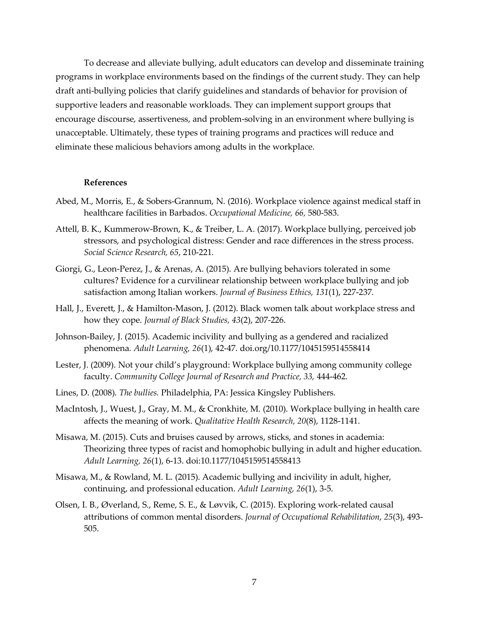To decrease and alleviate bullying, adult educators can develop and disseminate training programs in workplace environments based on the findings of the current study. They can help draft anti-bullying policies that clarify guidelines and standards of behavior for provision of supportive leaders and reasonable workloads. They can implement support groups that encourage discourse, assertiveness, and problem-solving in an environment where bullying is unacceptable. Ultimately, these types of training programs and practices will reduce and eliminate these malicious behaviors among adults in the workplace.

#### **References**

- Abed, M., Morris, E., & Sobers-Grannum, N. (2016). Workplace violence against medical staff in healthcare facilities in Barbados. *Occupational Medicine, 66,* 580-583.
- Attell, B. K., Kummerow-Brown, K., & Treiber, L. A. (2017). Workplace bullying, perceived job stressors, and psychological distress: Gender and race differences in the stress process. *Social Science Research, 65*, 210-221.
- Giorgi, G., Leon-Perez, J., & Arenas, A. (2015). Are bullying behaviors tolerated in some cultures? Evidence for a curvilinear relationship between workplace bullying and job satisfaction among Italian workers. *Journal of Business Ethics, 131*(1), 227-237.
- Hall, J., Everett, J., & Hamilton-Mason, J. (2012). Black women talk about workplace stress and how they cope. *Journal of Black Studies, 43*(2), 207-226.
- Johnson-Bailey, J. (2015). Academic incivility and bullying as a gendered and racialized phenomena. *Adult Learning, 26*(1), 42-47. doi.org/10.1177/1045159514558414
- Lester, J. (2009). Not your child's playground: Workplace bullying among community college faculty. *Community College Journal of Research and Practice, 33,* 444-462.
- Lines, D. (2008). *The bullies.* Philadelphia, PA: Jessica Kingsley Publishers.
- MacIntosh, J., Wuest, J., Gray, M. M., & Cronkhite, M. (2010). Workplace bullying in health care affects the meaning of work. *Qualitative Health Research, 20*(8), 1128-1141.
- Misawa, M. (2015). Cuts and bruises caused by arrows, sticks, and stones in academia: Theorizing three types of racist and homophobic bullying in adult and higher education. *Adult Learning, 26*(1), 6-13. doi:10.1177/1045159514558413
- Misawa, M., & Rowland, M. L. (2015). Academic bullying and incivility in adult, higher, continuing, and professional education. *Adult Learning, 26*(1), 3-5.
- Olsen, I. B., Øverland, S., Reme, S. E., & Løvvik, C. (2015). Exploring work-related causal attributions of common mental disorders. *Journal of Occupational Rehabilitation*, *25*(3), 493- 505.